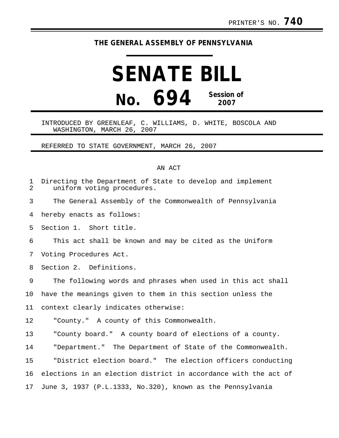## **THE GENERAL ASSEMBLY OF PENNSYLVANIA**

## **SENATE BILL No. 694 Session of 2007**

## INTRODUCED BY GREENLEAF, C. WILLIAMS, D. WHITE, BOSCOLA AND WASHINGTON, MARCH 26, 2007

REFERRED TO STATE GOVERNMENT, MARCH 26, 2007

## AN ACT

| 1<br>$\overline{2}$ | Directing the Department of State to develop and implement<br>uniform voting procedures. |
|---------------------|------------------------------------------------------------------------------------------|
| 3                   | The General Assembly of the Commonwealth of Pennsylvania                                 |
| 4                   | hereby enacts as follows:                                                                |
| 5                   | Section 1. Short title.                                                                  |
| 6                   | This act shall be known and may be cited as the Uniform                                  |
| 7                   | Voting Procedures Act.                                                                   |
| 8                   | Section 2. Definitions.                                                                  |
| 9                   | The following words and phrases when used in this act shall                              |
| 10                  | have the meanings given to them in this section unless the                               |
| 11                  | context clearly indicates otherwise:                                                     |
| 12                  | "County." A county of this Commonwealth.                                                 |
| 13                  | "County board." A county board of elections of a county.                                 |
| 14                  | "Department." The Department of State of the Commonwealth.                               |
| 15                  | "District election board." The election officers conducting                              |
| 16                  | elections in an election district in accordance with the act of                          |
| 17                  | June 3, 1937 (P.L.1333, No.320), known as the Pennsylvania                               |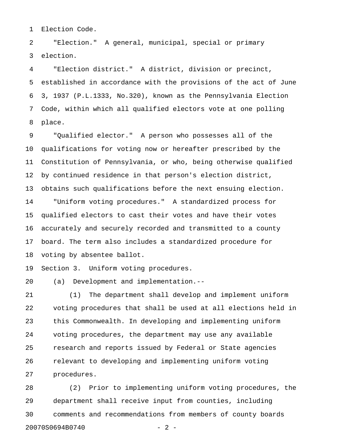1 Election Code.

2 "Election." A general, municipal, special or primary 3 election.

4 "Election district." A district, division or precinct, 5 established in accordance with the provisions of the act of June 6 3, 1937 (P.L.1333, No.320), known as the Pennsylvania Election 7 Code, within which all qualified electors vote at one polling 8 place.

9 "Qualified elector." A person who possesses all of the 10 qualifications for voting now or hereafter prescribed by the 11 Constitution of Pennsylvania, or who, being otherwise qualified 12 by continued residence in that person's election district, 13 obtains such qualifications before the next ensuing election. 14 "Uniform voting procedures." A standardized process for 15 qualified electors to cast their votes and have their votes 16 accurately and securely recorded and transmitted to a county 17 board. The term also includes a standardized procedure for 18 voting by absentee ballot.

19 Section 3. Uniform voting procedures.

20 (a) Development and implementation.--

21 (1) The department shall develop and implement uniform 22 voting procedures that shall be used at all elections held in 23 this Commonwealth. In developing and implementing uniform 24 voting procedures, the department may use any available 25 research and reports issued by Federal or State agencies 26 relevant to developing and implementing uniform voting 27 procedures.

28 (2) Prior to implementing uniform voting procedures, the 29 department shall receive input from counties, including 30 comments and recommendations from members of county boards 20070S0694B0740 - 2 -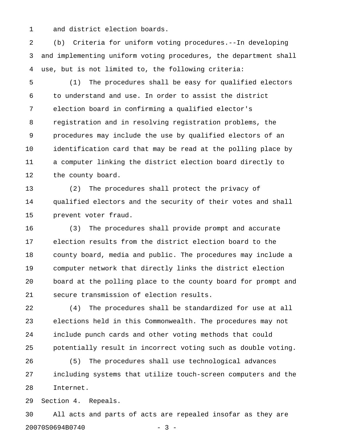1 and district election boards.

2 (b) Criteria for uniform voting procedures.--In developing 3 and implementing uniform voting procedures, the department shall 4 use, but is not limited to, the following criteria:

5 (1) The procedures shall be easy for qualified electors 6 to understand and use. In order to assist the district 7 election board in confirming a qualified elector's 8 registration and in resolving registration problems, the 9 procedures may include the use by qualified electors of an 10 identification card that may be read at the polling place by 11 a computer linking the district election board directly to 12 the county board.

13 (2) The procedures shall protect the privacy of 14 qualified electors and the security of their votes and shall 15 prevent voter fraud.

16 (3) The procedures shall provide prompt and accurate 17 election results from the district election board to the 18 county board, media and public. The procedures may include a 19 computer network that directly links the district election 20 board at the polling place to the county board for prompt and 21 secure transmission of election results.

22 (4) The procedures shall be standardized for use at all 23 elections held in this Commonwealth. The procedures may not 24 include punch cards and other voting methods that could 25 potentially result in incorrect voting such as double voting.

26 (5) The procedures shall use technological advances 27 including systems that utilize touch-screen computers and the 28 Internet.

29 Section 4. Repeals.

30 All acts and parts of acts are repealed insofar as they are 20070S0694B0740 - 3 -